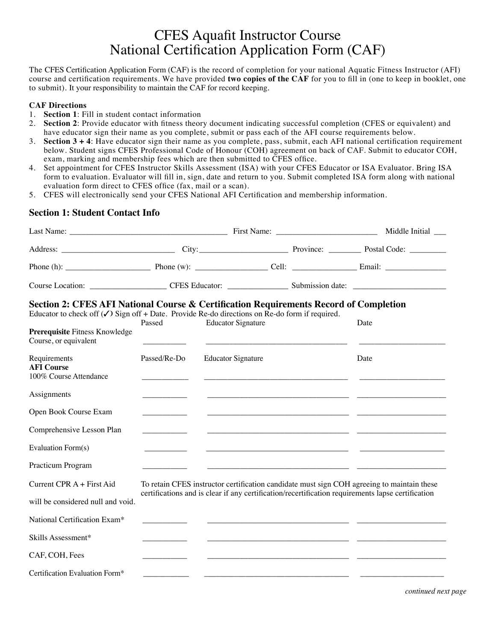# CFES Aquafit Instructor Course National Certification Application Form (CAF)

The CFES Certification Application Form (CAF) is the record of completion for your national Aquatic Fitness Instructor (AFI) course and certification requirements. We have provided **two copies of the CAF** for you to fill in (one to keep in booklet, one to submit). It your responsibility to maintain the CAF for record keeping.

#### **CAF Directions**

- 1. **Section 1**: Fill in student contact information
- 2. **Section 2**: Provide educator with fitness theory document indicating successful completion (CFES or equivalent) and have educator sign their name as you complete, submit or pass each of the AFI course requirements below.
- 3. **Section 3 + 4**: Have educator sign their name as you complete, pass, submit, each AFI national certification requirement below. Student signs CFES Professional Code of Honour (COH) agreement on back of CAF. Submit to educator COH, exam, marking and membership fees which are then submitted to CFES office.
- 4. Set appointment for CFES Instructor Skills Assessment (ISA) with your CFES Educator or ISA Evaluator. Bring ISA form to evaluation. Evaluator will fill in, sign, date and return to you. Submit completed ISA form along with national evaluation form direct to CFES office (fax, mail or a scan).
- 5. CFES will electronically send your CFES National AFI Certification and membership information.

### **Section 1: Student Contact Info**

|                                                                                                                                                                                                                                                               |              |                           |  | Middle Initial __                                                                                                                                                                               |  |
|---------------------------------------------------------------------------------------------------------------------------------------------------------------------------------------------------------------------------------------------------------------|--------------|---------------------------|--|-------------------------------------------------------------------------------------------------------------------------------------------------------------------------------------------------|--|
|                                                                                                                                                                                                                                                               |              |                           |  |                                                                                                                                                                                                 |  |
| Phone (h): $\_\_\_\_\_\_\_\_\$ Phone (w): $\_\_\_\_\_\_\_$ Cell: $\_\_\_\_\_\_\_\_\_\_\$ Email: $\_\_\_\_\_\_\_\_\_\_$                                                                                                                                        |              |                           |  |                                                                                                                                                                                                 |  |
|                                                                                                                                                                                                                                                               |              |                           |  |                                                                                                                                                                                                 |  |
| Section 2: CFES AFI National Course & Certification Requirements Record of Completion<br>Educator to check off $(\checkmark)$ Sign off + Date. Provide Re-do directions on Re-do form if required.<br>Prerequisite Fitness Knowledge<br>Course, or equivalent | Passed       | <b>Educator Signature</b> |  | Date                                                                                                                                                                                            |  |
| Requirements<br><b>AFI</b> Course<br>100% Course Attendance                                                                                                                                                                                                   | Passed/Re-Do | <b>Educator Signature</b> |  | Date                                                                                                                                                                                            |  |
| Assignments                                                                                                                                                                                                                                                   |              |                           |  |                                                                                                                                                                                                 |  |
| Open Book Course Exam                                                                                                                                                                                                                                         |              |                           |  |                                                                                                                                                                                                 |  |
| Comprehensive Lesson Plan                                                                                                                                                                                                                                     |              |                           |  |                                                                                                                                                                                                 |  |
| Evaluation Form(s)                                                                                                                                                                                                                                            |              |                           |  |                                                                                                                                                                                                 |  |
| Practicum Program                                                                                                                                                                                                                                             |              |                           |  |                                                                                                                                                                                                 |  |
| Current CPR A + First Aid                                                                                                                                                                                                                                     |              |                           |  | To retain CFES instructor certification candidate must sign COH agreeing to maintain these<br>certifications and is clear if any certification/recertification requirements lapse certification |  |
| will be considered null and void.                                                                                                                                                                                                                             |              |                           |  |                                                                                                                                                                                                 |  |
| National Certification Exam*                                                                                                                                                                                                                                  |              |                           |  |                                                                                                                                                                                                 |  |
| Skills Assessment*                                                                                                                                                                                                                                            |              |                           |  |                                                                                                                                                                                                 |  |
| CAF, COH, Fees                                                                                                                                                                                                                                                |              |                           |  |                                                                                                                                                                                                 |  |
| Certification Evaluation Form*                                                                                                                                                                                                                                |              |                           |  |                                                                                                                                                                                                 |  |

*continued next page*